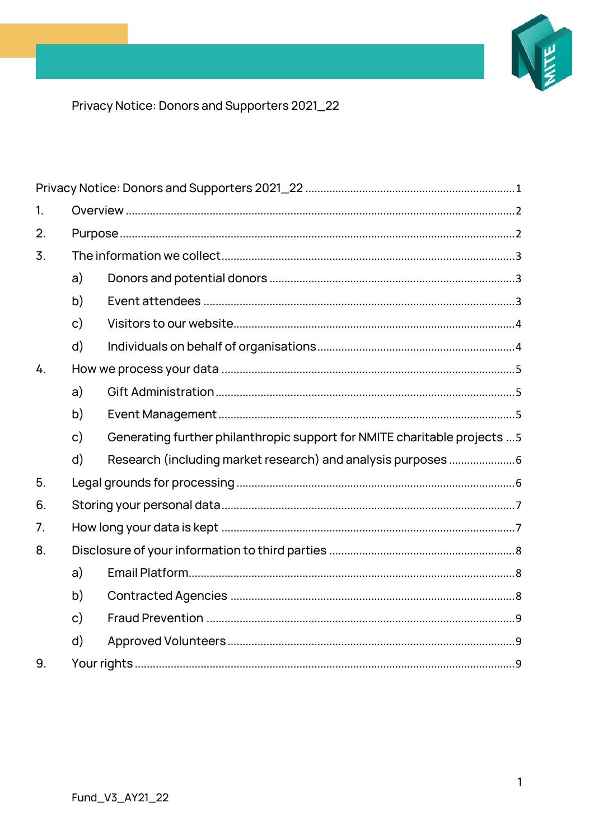

<span id="page-0-0"></span>Privacy Notice: Donors and Supporters 2021\_22

| 1.               |                |                                                                           |  |
|------------------|----------------|---------------------------------------------------------------------------|--|
| 2.               |                |                                                                           |  |
| $\overline{3}$ . |                |                                                                           |  |
|                  | a)             |                                                                           |  |
|                  | b)             |                                                                           |  |
|                  | $\mathsf{c})$  |                                                                           |  |
|                  | $\mathsf{d}$   |                                                                           |  |
| 4.               |                |                                                                           |  |
|                  | a)             |                                                                           |  |
|                  | b)             |                                                                           |  |
|                  | $\mathsf{c}$ ) | Generating further philanthropic support for NMITE charitable projects  5 |  |
|                  | $\mathsf{d}$   |                                                                           |  |
| 5.               |                |                                                                           |  |
| 6.               |                |                                                                           |  |
| 7 <sub>1</sub>   |                |                                                                           |  |
| 8.               |                |                                                                           |  |
|                  | a)             |                                                                           |  |
|                  | b)             |                                                                           |  |
|                  | $\mathsf{c})$  |                                                                           |  |
|                  | $\mathsf{d}$   |                                                                           |  |
| 9.               |                |                                                                           |  |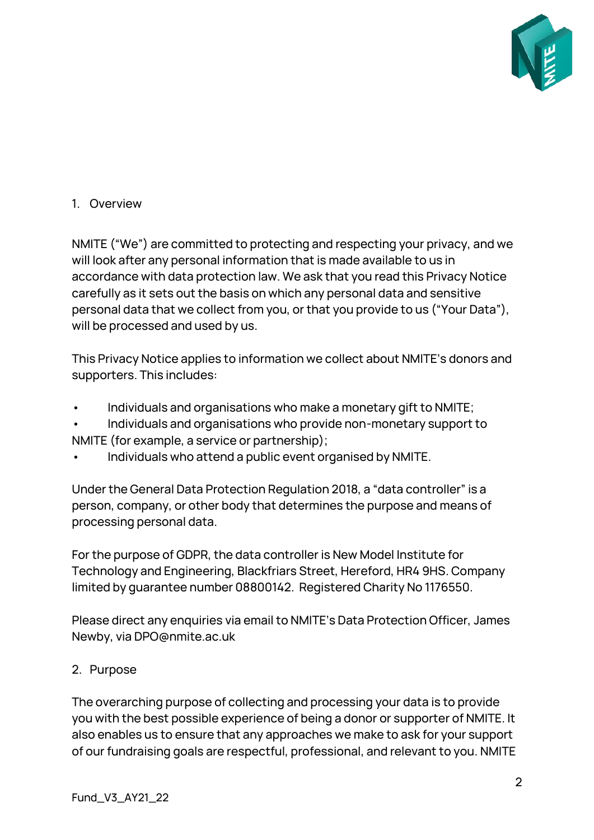

### <span id="page-1-0"></span>1. Overview

NMITE ("We") are committed to protecting and respecting your privacy, and we will look after any personal information that is made available to us in accordance with data protection law. We ask that you read this Privacy Notice carefully as it sets out the basis on which any personal data and sensitive personal data that we collect from you, or that you provide to us ("Your Data"), will be processed and used by us.

This Privacy Notice applies to information we collect about NMITE's donors and supporters. This includes:

- Individuals and organisations who make a monetary gift to NMITE;
- Individuals and organisations who provide non-monetary support to NMITE (for example, a service or partnership);
- Individuals who attend a public event organised by NMITE.

Under the General Data Protection Regulation 2018, a "data controller" is a person, company, or other body that determines the purpose and means of processing personal data.

For the purpose of GDPR, the data controller is New Model Institute for Technology and Engineering, Blackfriars Street, Hereford, HR4 9HS. Company limited by guarantee number 08800142. Registered Charity No 1176550.

Please direct any enquiries via email to NMITE's Data Protection Officer, James Newby, via DPO@nmite.ac.uk

#### <span id="page-1-1"></span>2. Purpose

The overarching purpose of collecting and processing your data is to provide you with the best possible experience of being a donor or supporter of NMITE. It also enables us to ensure that any approaches we make to ask for your support of our fundraising goals are respectful, professional, and relevant to you. NMITE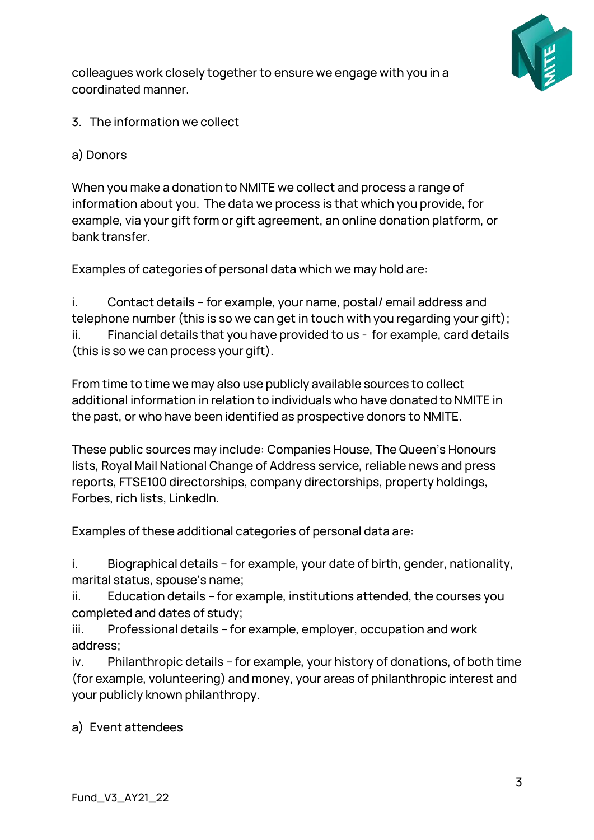

colleagues work closely together to ensure we engage with you in a coordinated manner.

<span id="page-2-1"></span><span id="page-2-0"></span>3. The information we collect

## a) Donors

When you make a donation to NMITE we collect and process a range of information about you. The data we process is that which you provide, for example, via your gift form or gift agreement, an online donation platform, or bank transfer.

Examples of categories of personal data which we may hold are:

i. Contact details – for example, your name, postal/ email address and telephone number (this is so we can get in touch with you regarding your gift); ii. Financial details that you have provided to us - for example, card details (this is so we can process your gift).

From time to time we may also use publicly available sources to collect additional information in relation to individuals who have donated to NMITE in the past, or who have been identified as prospective donors to NMITE.

These public sources may include: Companies House, The Queen's Honours lists, Royal Mail National Change of Address service, reliable news and press reports, FTSE100 directorships, company directorships, property holdings, Forbes, rich lists, LinkedIn.

Examples of these additional categories of personal data are:

i. Biographical details – for example, your date of birth, gender, nationality, marital status, spouse's name;

ii. Education details – for example, institutions attended, the courses you completed and dates of study;

iii. Professional details – for example, employer, occupation and work address;

iv. Philanthropic details – for example, your history of donations, of both time (for example, volunteering) and money, your areas of philanthropic interest and your publicly known philanthropy.

<span id="page-2-2"></span>a) Event attendees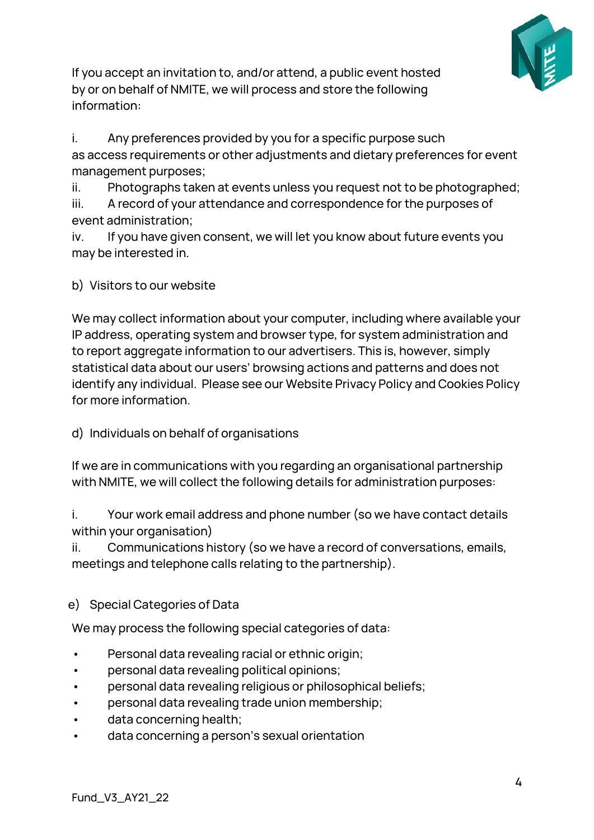

If you accept an invitation to, and/or attend, a public event hosted by or on behalf of NMITE, we will process and store the following information:

i. Any preferences provided by you for a specific purpose such as access requirements or other adjustments and dietary preferences for event management purposes;

ii. Photographs taken at events unless you request not to be photographed; iii. A record of your attendance and correspondence for the purposes of

event administration;

iv. If you have given consent, we will let you know about future events you may be interested in.

<span id="page-3-0"></span>b) Visitors to our website

We may collect information about your computer, including where available your IP address, operating system and browser type, for system administration and to report aggregate information to our advertisers. This is, however, simply statistical data about our users' browsing actions and patterns and does not identify any individual. Please see our Website Privacy Policy and Cookies Policy for more information.

<span id="page-3-1"></span>d) Individuals on behalf of organisations

If we are in communications with you regarding an organisational partnership with NMITE, we will collect the following details for administration purposes:

i. Your work email address and phone number (so we have contact details within your organisation)

ii. Communications history (so we have a record of conversations, emails, meetings and telephone calls relating to the partnership).

# e) Special Categories of Data

We may process the following special categories of data:

- Personal data revealing racial or ethnic origin;
- personal data revealing political opinions;
- personal data revealing religious or philosophical beliefs;
- personal data revealing trade union membership;
- data concerning health;
- data concerning a person's sexual orientation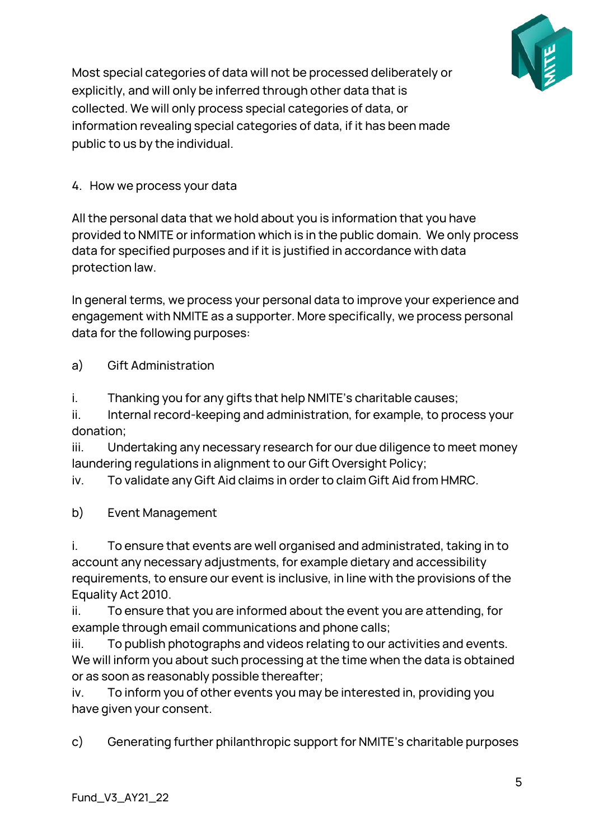

Most special categories of data will not be processed deliberately or explicitly, and will only be inferred through other data that is collected. We will only process special categories of data, or information revealing special categories of data, if it has been made public to us by the individual.

### <span id="page-4-0"></span>4. How we process your data

All the personal data that we hold about you is information that you have provided to NMITE or information which is in the public domain. We only process data for specified purposes and if it is justified in accordance with data protection law.

In general terms, we process your personal data to improve your experience and engagement with NMITE as a supporter. More specifically, we process personal data for the following purposes:

<span id="page-4-1"></span>a) Gift Administration

i. Thanking you for any gifts that help NMITE's charitable causes;

ii. Internal record-keeping and administration, for example, to process your donation;

iii. Undertaking any necessary research for our due diligence to meet money laundering regulations in alignment to our Gift Oversight Policy;

iv. To validate any Gift Aid claims in order to claim Gift Aid from HMRC.

<span id="page-4-2"></span>b) Event Management

i. To ensure that events are well organised and administrated, taking in to account any necessary adjustments, for example dietary and accessibility requirements, to ensure our event is inclusive, in line with the provisions of the Equality Act 2010.

ii. To ensure that you are informed about the event you are attending, for example through email communications and phone calls;

iii. To publish photographs and videos relating to our activities and events. We will inform you about such processing at the time when the data is obtained or as soon as reasonably possible thereafter;

iv. To inform you of other events you may be interested in, providing you have given your consent.

<span id="page-4-3"></span>c) Generating further philanthropic support for NMITE's charitable purposes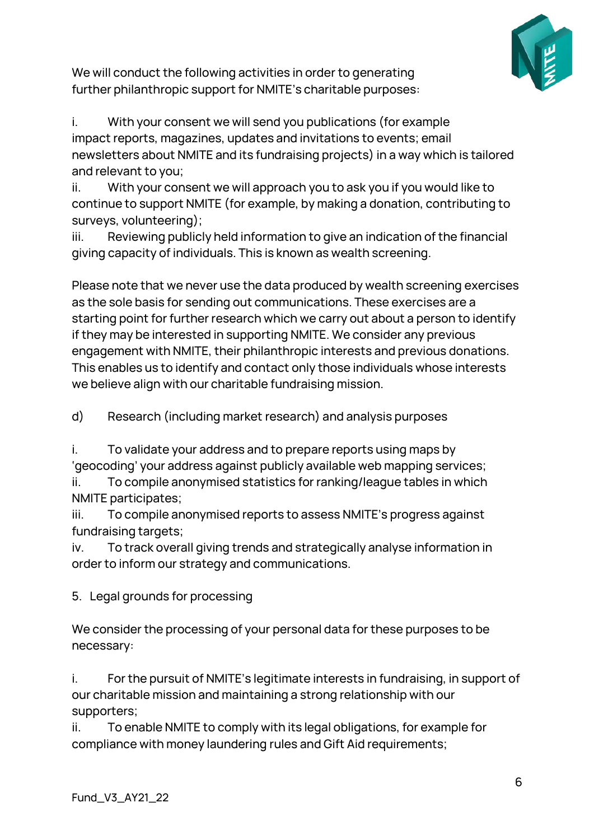

We will conduct the following activities in order to generating further philanthropic support for NMITE's charitable purposes:

i. With your consent we will send you publications (for example impact reports, magazines, updates and invitations to events; email newsletters about NMITE and its fundraising projects) in a way which is tailored and relevant to you;

ii. With your consent we will approach you to ask you if you would like to continue to support NMITE (for example, by making a donation, contributing to surveys, volunteering);

iii. Reviewing publicly held information to give an indication of the financial giving capacity of individuals. This is known as wealth screening.

Please note that we never use the data produced by wealth screening exercises as the sole basis for sending out communications. These exercises are a starting point for further research which we carry out about a person to identify if they may be interested in supporting NMITE. We consider any previous engagement with NMITE, their philanthropic interests and previous donations. This enables us to identify and contact only those individuals whose interests we believe align with our charitable fundraising mission.

<span id="page-5-0"></span>d) Research (including market research) and analysis purposes

i. To validate your address and to prepare reports using maps by 'geocoding' your address against publicly available web mapping services;

ii. To compile anonymised statistics for ranking/league tables in which NMITE participates;

iii. To compile anonymised reports to assess NMITE's progress against fundraising targets;

iv. To track overall giving trends and strategically analyse information in order to inform our strategy and communications.

<span id="page-5-1"></span>5. Legal grounds for processing

We consider the processing of your personal data for these purposes to be necessary:

i. For the pursuit of NMITE's legitimate interests in fundraising, in support of our charitable mission and maintaining a strong relationship with our supporters;

ii. To enable NMITE to comply with its legal obligations, for example for compliance with money laundering rules and Gift Aid requirements;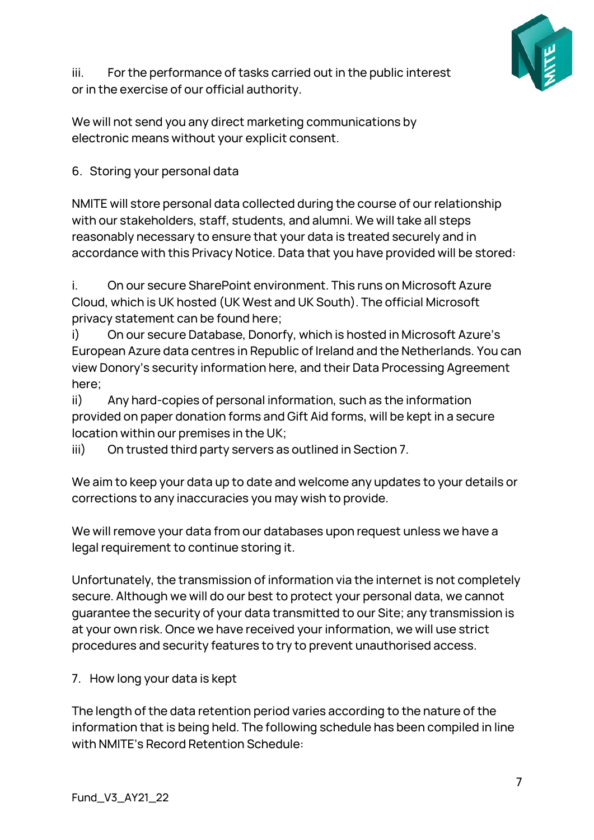

iii. For the performance of tasks carried out in the public interest or in the exercise of our official authority.

We will not send you any direct marketing communications by electronic means without your explicit consent.

### <span id="page-6-0"></span>6. Storing your personal data

NMITE will store personal data collected during the course of our relationship with our stakeholders, staff, students, and alumni. We will take all steps reasonably necessary to ensure that your data is treated securely and in accordance with this Privacy Notice. Data that you have provided will be stored:

i. On our secure SharePoint environment. This runs on Microsoft Azure Cloud, which is UK hosted (UK West and UK South). The official Microsoft privacy statement can be found here;

i) On our secure Database, Donorfy, which is hosted in Microsoft Azure's European Azure data centres in Republic of Ireland and the Netherlands. You can view Donory's security information here, and their Data Processing Agreement here;

ii) Any hard-copies of personal information, such as the information provided on paper donation forms and Gift Aid forms, will be kept in a secure location within our premises in the UK;

iii) On trusted third party servers as outlined in Section 7.

We aim to keep your data up to date and welcome any updates to your details or corrections to any inaccuracies you may wish to provide.

We will remove your data from our databases upon request unless we have a legal requirement to continue storing it.

Unfortunately, the transmission of information via the internet is not completely secure. Although we will do our best to protect your personal data, we cannot guarantee the security of your data transmitted to our Site; any transmission is at your own risk. Once we have received your information, we will use strict procedures and security features to try to prevent unauthorised access.

<span id="page-6-1"></span>7. How long your data is kept

The length of the data retention period varies according to the nature of the information that is being held. The following schedule has been compiled in line with NMITE's Record Retention Schedule: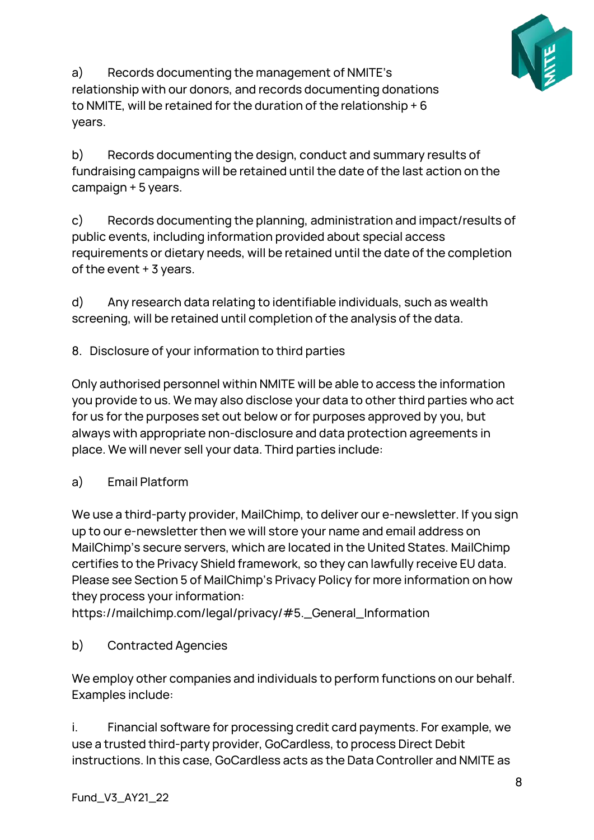

a) Records documenting the management of NMITE's relationship with our donors, and records documenting donations to NMITE, will be retained for the duration of the relationship + 6 years.

b) Records documenting the design, conduct and summary results of fundraising campaigns will be retained until the date of the last action on the campaign + 5 years.

c) Records documenting the planning, administration and impact/results of public events, including information provided about special access requirements or dietary needs, will be retained until the date of the completion of the event + 3 years.

d) Any research data relating to identifiable individuals, such as wealth screening, will be retained until completion of the analysis of the data.

<span id="page-7-0"></span>8. Disclosure of your information to third parties

Only authorised personnel within NMITE will be able to access the information you provide to us. We may also disclose your data to other third parties who act for us for the purposes set out below or for purposes approved by you, but always with appropriate non-disclosure and data protection agreements in place. We will never sell your data. Third parties include:

<span id="page-7-1"></span>a) Email Platform

We use a third-party provider, MailChimp, to deliver our e-newsletter. If you sign up to our e-newsletter then we will store your name and email address on MailChimp's secure servers, which are located in the United States. MailChimp certifies to the Privacy Shield framework, so they can lawfully receive EU data. Please see Section 5 of MailChimp's Privacy Policy for more information on how they process your information:

https://mailchimp.com/legal/privacy/#5.\_General\_Information

<span id="page-7-2"></span>b) Contracted Agencies

We employ other companies and individuals to perform functions on our behalf. Examples include:

i. Financial software for processing credit card payments. For example, we use a trusted third-party provider, GoCardless, to process Direct Debit instructions. In this case, GoCardless acts as the Data Controller and NMITE as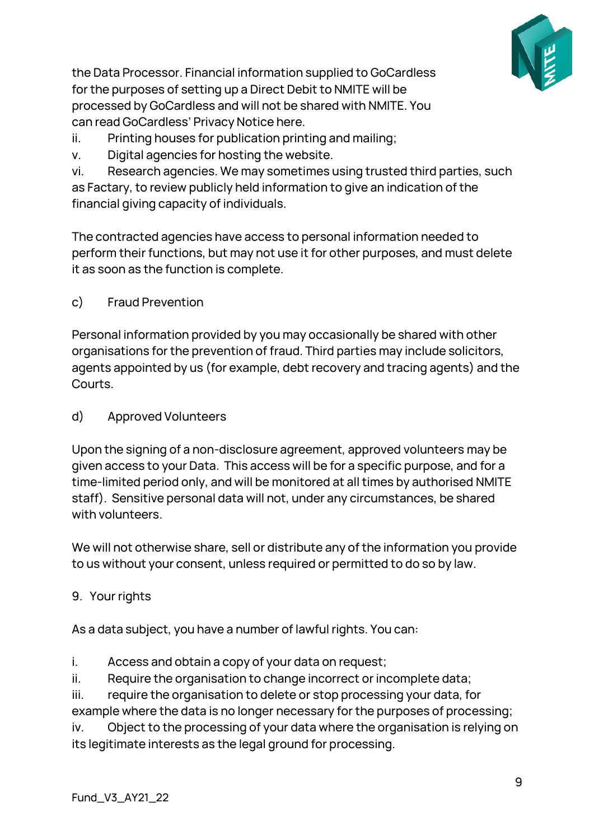

the Data Processor. Financial information supplied to GoCardless for the purposes of setting up a Direct Debit to NMITE will be processed by GoCardless and will not be shared with NMITE. You can read GoCardless' Privacy Notice here.

- ii. Printing houses for publication printing and mailing;
- v. Digital agencies for hosting the website.

vi. Research agencies. We may sometimes using trusted third parties, such as Factary, to review publicly held information to give an indication of the financial giving capacity of individuals.

The contracted agencies have access to personal information needed to perform their functions, but may not use it for other purposes, and must delete it as soon as the function is complete.

<span id="page-8-0"></span>c) Fraud Prevention

Personal information provided by you may occasionally be shared with other organisations for the prevention of fraud. Third parties may include solicitors, agents appointed by us (for example, debt recovery and tracing agents) and the Courts.

<span id="page-8-1"></span>d) Approved Volunteers

Upon the signing of a non-disclosure agreement, approved volunteers may be given access to your Data. This access will be for a specific purpose, and for a time-limited period only, and will be monitored at all times by authorised NMITE staff). Sensitive personal data will not, under any circumstances, be shared with volunteers.

We will not otherwise share, sell or distribute any of the information you provide to us without your consent, unless required or permitted to do so by law.

<span id="page-8-2"></span>9. Your rights

As a data subject, you have a number of lawful rights. You can:

- i. Access and obtain a copy of your data on request;
- ii. Require the organisation to change incorrect or incomplete data;

iii. require the organisation to delete or stop processing your data, for example where the data is no longer necessary for the purposes of processing;

iv. Object to the processing of your data where the organisation is relying on its legitimate interests as the legal ground for processing.